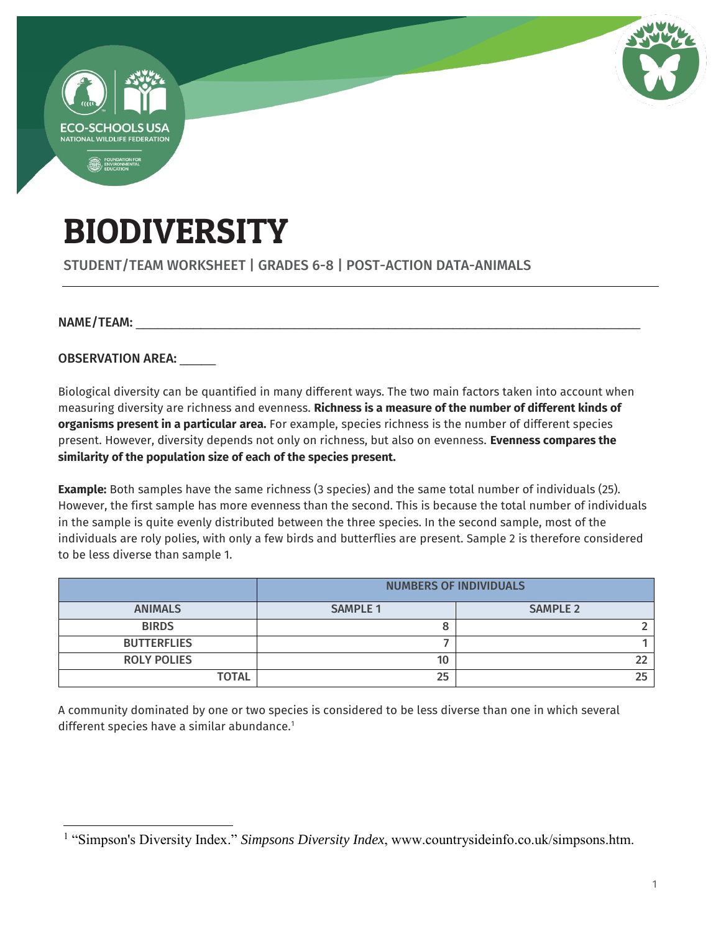

STUDENT/TEAM WORKSHEET | GRADES 6-8 | POST-ACTION DATA-ANIMALS

NAME/TEAM:

OBSERVATION AREA:

Biological diversity can be quantified in many different ways. The two main factors taken into account when measuring diversity are richness and evenness. **Richness is a measure of the number of different kinds of organisms present in a particular area.** For example, species richness is the number of different species present. However, diversity depends not only on richness, but also on evenness. **Evenness compares the similarity of the population size of each of the species present.**

**Example:** Both samples have the same richness (3 species) and the same total number of individuals (25). However, the first sample has more evenness than the second. This is because the total number of individuals in the sample is quite evenly distributed between the three species. In the second sample, most of the individuals are roly polies, with only a few birds and butterflies are present. Sample 2 is therefore considered to be less diverse than sample 1.

|                    | <b>NUMBERS OF INDIVIDUALS</b> |                 |  |
|--------------------|-------------------------------|-----------------|--|
| <b>ANIMALS</b>     | <b>SAMPLE 1</b>               | <b>SAMPLE 2</b> |  |
| <b>BIRDS</b>       |                               |                 |  |
| <b>BUTTERFLIES</b> |                               |                 |  |
| <b>ROLY POLIES</b> | 10                            |                 |  |
| <b>TOTAL</b>       | 25                            | 25              |  |

A community dominated by one or two species is considered to be less diverse than one in which several different species have a similar abundance.<sup>1</sup>

 $\overline{a}$ <sup>1</sup> "Simpson's Diversity Index." *Simpsons Diversity Index*, www.countrysideinfo.co.uk/simpsons.htm.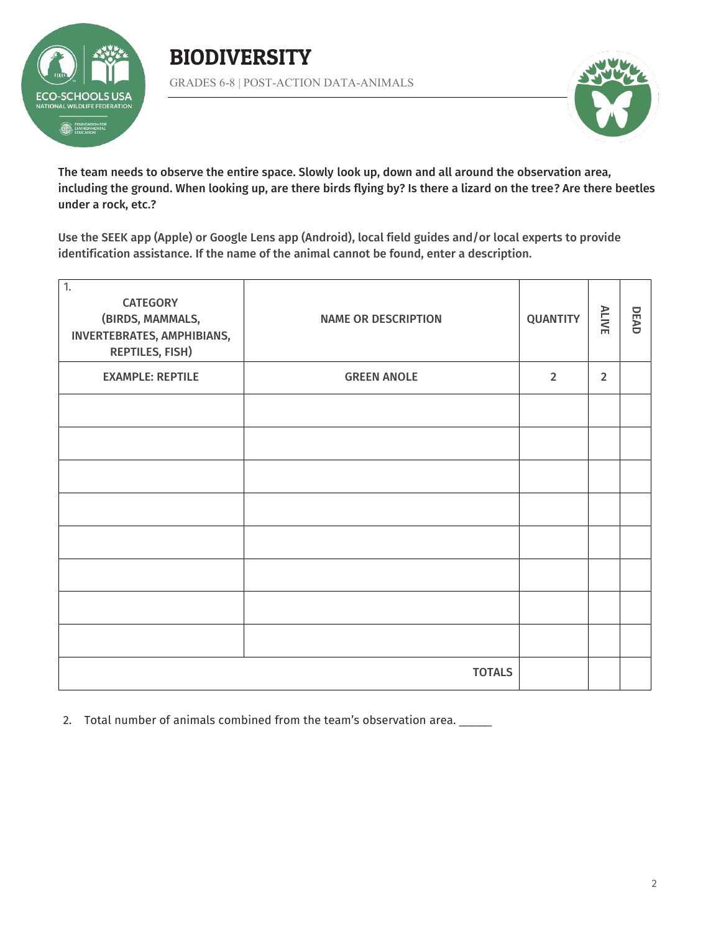

GRADES 6-8 | POST-ACTION DATA-ANIMALS



The team needs to observe the entire space. Slowly look up, down and all around the observation area, including the ground. When looking up, are there birds flying by? Is there a lizard on the tree? Are there beetles under a rock, etc.?

Use the SEEK app (Apple) or Google Lens app (Android), local field guides and/or local experts to provide identification assistance. If the name of the animal cannot be found, enter a description.

| $\overline{1}$ .<br><b>CATEGORY</b><br>(BIRDS, MAMMALS,<br>INVERTEBRATES, AMPHIBIANS,<br><b>REPTILES, FISH)</b> | <b>NAME OR DESCRIPTION</b> | <b>QUANTITY</b> | ALIVE          | DEAD |
|-----------------------------------------------------------------------------------------------------------------|----------------------------|-----------------|----------------|------|
| <b>EXAMPLE: REPTILE</b>                                                                                         | <b>GREEN ANOLE</b>         | $\overline{2}$  | $\overline{2}$ |      |
|                                                                                                                 |                            |                 |                |      |
|                                                                                                                 |                            |                 |                |      |
|                                                                                                                 |                            |                 |                |      |
|                                                                                                                 |                            |                 |                |      |
|                                                                                                                 |                            |                 |                |      |
|                                                                                                                 |                            |                 |                |      |
|                                                                                                                 |                            |                 |                |      |
|                                                                                                                 |                            |                 |                |      |
| <b>TOTALS</b>                                                                                                   |                            |                 |                |      |

2. Total number of animals combined from the team's observation area. \_\_\_\_\_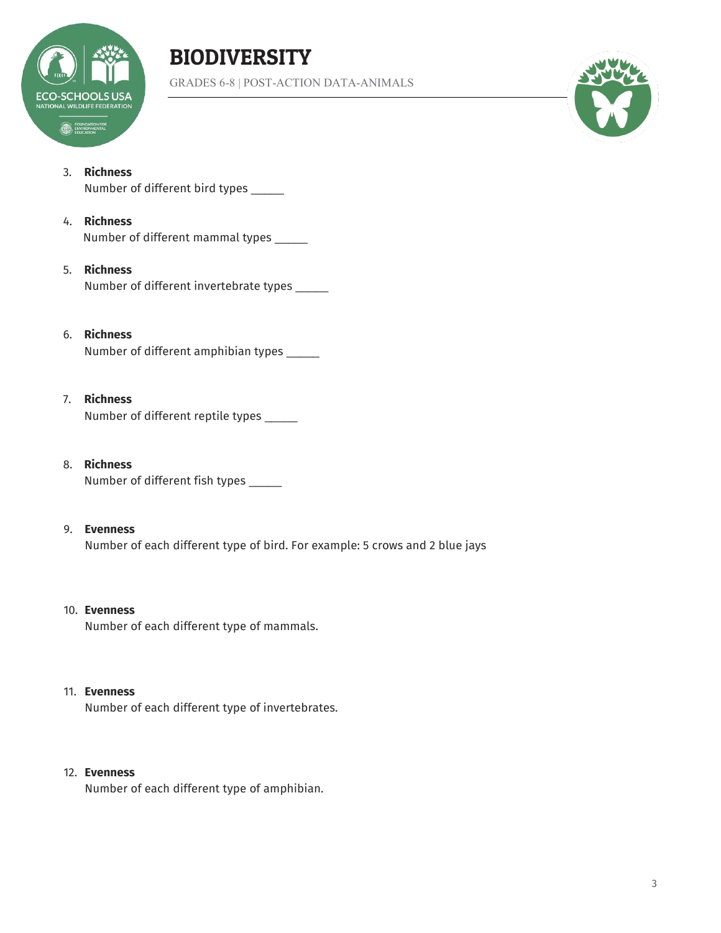

GRADES 6-8 | POST-ACTION DATA-ANIMALS



#### 3. **Richness**

Number of different bird types \_\_\_\_\_

#### 4. **Richness**

Number of different mammal types \_\_\_\_\_

#### 5. **Richness**

Number of different invertebrate types \_\_\_\_\_

#### 6. **Richness**

Number of different amphibian types \_\_\_\_\_

#### 7. **Richness**

Number of different reptile types \_\_\_\_\_

8. **Richness** Number of different fish types \_\_\_\_\_

#### 9. **Evenness**

Number of each different type of bird. For example: 5 crows and 2 blue jays

#### 10. **Evenness**

Number of each different type of mammals.

#### 11. **Evenness**

Number of each different type of invertebrates.

#### 12. **Evenness**

Number of each different type of amphibian.